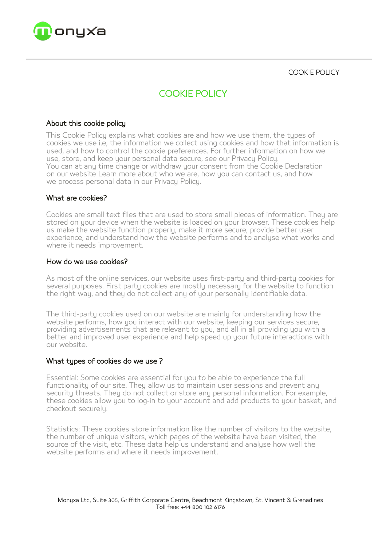

COOKIE POLICY

# COOKIE POLICY

## About this cookie policy

This Cookie Policy explains what cookies are and how we use them, the types of cookies we use i.e, the information we collect using cookies and how that information is used, and how to control the cookie preferences. For further information on how we use, store, and keep your personal data secure, see our Privacy Policy. You can at any time change or withdraw your consent from the Cookie Declaration on our website Learn more about who we are, how you can contact us, and how we process personal data in our Privacu Policu.

## What are cookies?

Cookies are small text files that are used to store small pieces of information. They are stored on your device when the website is loaded on your browser. These cookies help us make the website function properly, make it more secure, provide better user experience, and understand how the website performs and to analyse what works and where it needs improvement.

## How do we use cookies?

As most of the online services, our website uses first-party and third-party cookies for several purposes. First party cookies are mostly necessary for the website to function the right way, and they do not collect any of your personally identifiable data.

The third-party cookies used on our website are mainly for understanding how the website performs, how you interact with our website, keeping our services secure, providing advertisements that are relevant to you, and all in all providing you with a better and improved user experience and help speed up your future interactions with our website.

#### What types of cookies do we use ?

Essential: Some cookies are essential for you to be able to experience the full functionality of our site. They allow us to maintain user sessions and prevent any security threats. They do not collect or store any personal information. For example, these cookies allow you to log-in to your account and add products to your basket, and checkout securely.

Statistics: These cookies store information like the number of visitors to the website, the number of unique visitors, which pages of the website have been visited, the source of the visit, etc. These data help us understand and analyse how well the website performs and where it needs improvement.